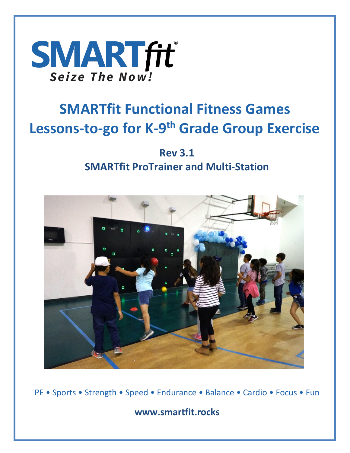

# **SMARTfit Functional Fitness Games Lessons-to-go for K-9 th Grade Group Exercise**

## **Rev 3.1 SMARTfit ProTrainer and Multi-Station**



PE • Sports • Strength • Speed • Endurance • Balance • Cardio • Focus • Fun

**www.smartfit.rocks**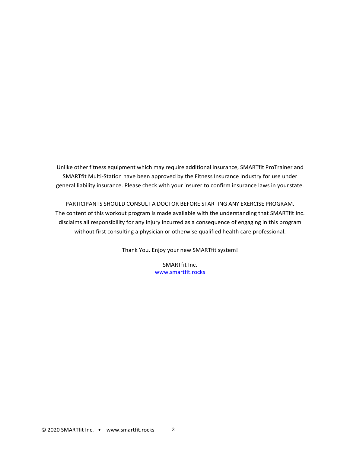Unlike other fitness equipment which may require additional insurance, SMARTfit ProTrainer and SMARTfit Multi-Station have been approved by the Fitness Insurance Industry for use under general liability insurance. Please check with your insurer to confirm insurance laws in yourstate.

PARTICIPANTS SHOULD CONSULT A DOCTOR BEFORE STARTING ANY EXERCISE PROGRAM. The content of this workout program is made available with the understanding that SMARTfit Inc. disclaims all responsibility for any injury incurred as a consequence of engaging in this program without first consulting a physician or otherwise qualified health care professional.

Thank You. Enjoy your new SMARTfit system!

SMARTfit Inc. [www.smartfit.rocks](http://www.smartfit.rocks/)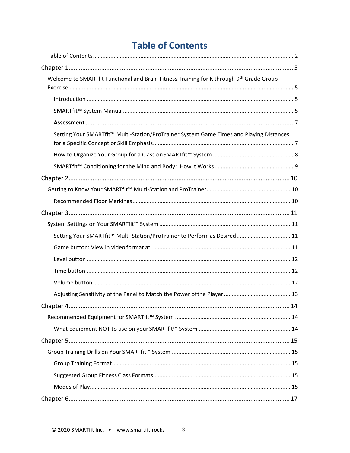### **Table of Contents**

| Welcome to SMARTfit Functional and Brain Fitness Training for K through 9th Grade Group             |
|-----------------------------------------------------------------------------------------------------|
|                                                                                                     |
|                                                                                                     |
|                                                                                                     |
|                                                                                                     |
| Setting Your SMARTfit <sup>™</sup> Multi-Station/ProTrainer System Game Times and Playing Distances |
|                                                                                                     |
|                                                                                                     |
|                                                                                                     |
|                                                                                                     |
|                                                                                                     |
|                                                                                                     |
|                                                                                                     |
| Setting Your SMARTfit <sup>™</sup> Multi-Station/ProTrainer to Perform as Desired 11                |
|                                                                                                     |
|                                                                                                     |
|                                                                                                     |
|                                                                                                     |
|                                                                                                     |
|                                                                                                     |
|                                                                                                     |
|                                                                                                     |
|                                                                                                     |
|                                                                                                     |
|                                                                                                     |
|                                                                                                     |
|                                                                                                     |
|                                                                                                     |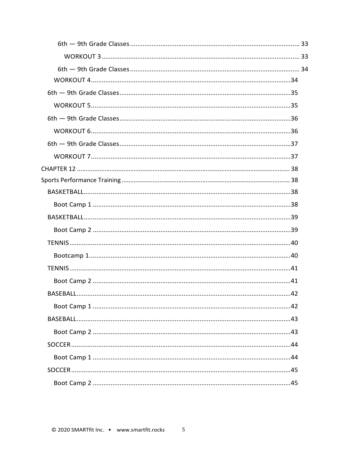| 42 |  |
|----|--|
|    |  |
|    |  |
|    |  |
|    |  |
|    |  |
|    |  |
|    |  |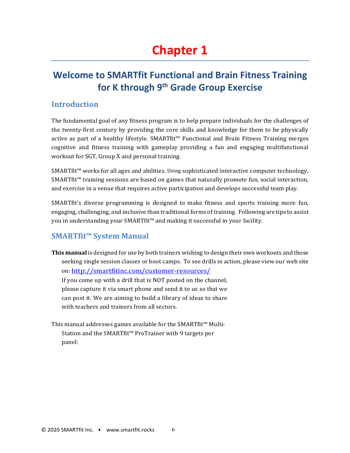## <span id="page-5-0"></span>**Chapter 1**

### <span id="page-5-1"></span>**Welcome to SMARTfit Functional and Brain Fitness Training for K through 9th Grade Group Exercise**

#### <span id="page-5-2"></span>**Introduction**

The fundamental goal of any fitness program is to help prepare individuals for the challenges of the twenty-first century by providing the core skills and knowledge for them to be physically active as part of a healthy lifestyle. SMARTfit™ Functional and Brain Fitness Training merges cognitive and fitness training with gameplay providing a fun and engaging multifunctional workout for SGT, Group X and personal training.

SMARTfit™ works for all ages and abilities. Using sophisticated interactive computer technology, SMARTfit™ training sessions are based on games that naturally promote fun, social interaction, and exercise in a venue that requires active participation and develops successful team play.

SMARTfit's diverse programming is designed to make fitness and sports training more fun, engaging, challenging, and inclusive than traditional forms of training. Following are tips to assist you in understanding your SMARTfit™ and making it successful in your facility.

#### <span id="page-5-3"></span>**SMARTfit™ System Manual**

**This manual** is designed for use by both trainers wishing to design their own workouts and those seeking single session classes or boot camps. To see drills in action, please view our web site on: <http://smartfitinc.com/customer-resources/>

If you come up with a drill that is NOT posted on the channel, please capture it via smart phone and send it to us so that we can post it. We are aiming to build a library of ideas to share with teachers and trainers from all sectors.

This manual addresses games available for the SMARTfit™ Multi-Station and the SMARTfit™ ProTrainer with 9 targets per panel: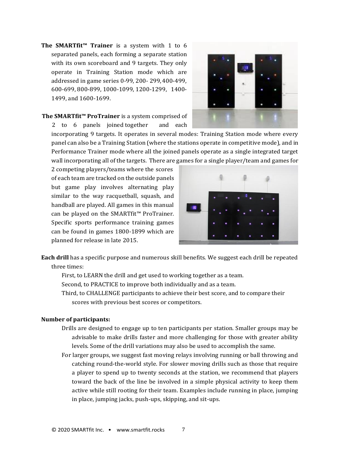**The SMARTfit™ Trainer** is a system with 1 to 6 separated panels, each forming a separate station with its own scoreboard and 9 targets. They only operate in Training Station mode which are addressed in game series 0-99, 200- 299,400-499, 600-699, 800-899, 1000-1099, 1200-1299, 1400- 1499, and 1600-1699.



#### **The SMARTfit™ ProTrainer** is a system comprised of 2 to 6 panels joined together and each

incorporating 9 targets. It operates in several modes: Training Station mode where every panel can also be a Training Station (where the stations operate in competitive mode), and in Performance Trainer mode where all the joined panels operate as a single integrated target wall incorporating all of the targets. There are games for a single player/team and games for

2 competing players/teams where the scores of each team are tracked on the outside panels but game play involves alternating play similar to the way racquetball, squash, and handball are played. All games in this manual can be played on the SMARTfit™ ProTrainer. Specific sports performance training games can be found in games 1800-1899 which are planned for release in late 2015.



**Each drill** has a specific purpose and numerous skill benefits. We suggest each drill be repeated three times:

First, to LEARN the drill and get used to working together as a team.

Second, to PRACTICE to improve both individually and as a team.

Third, to CHALLENGE participants to achieve their best score, and to compare their scores with previous best scores or competitors.

#### **Number of participants:**

- Drills are designed to engage up to ten participants per station. Smaller groups may be advisable to make drills faster and more challenging for those with greater ability levels. Some of the drill variations may also be used to accomplish the same.
- For larger groups, we suggest fast moving relays involving running or ball throwing and catching round-the-world style. For slower moving drills such as those that require a player to spend up to twenty seconds at the station, we recommend that players toward the back of the line be involved in a simple physical activity to keep them active while still rooting for their team. Examples include running in place, jumping in place, jumping jacks, push-ups, skipping, and sit-ups.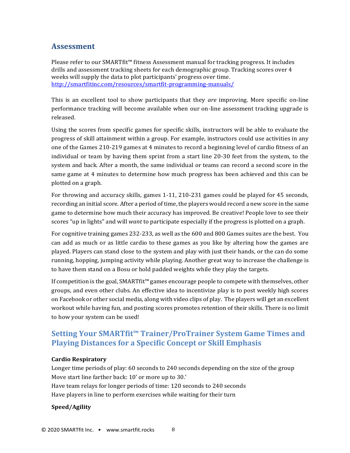#### <span id="page-7-0"></span>**Assessment**

Please refer to our SMARTfit™ fitness Assessment manual for tracking progress. It includes drills and assessment tracking sheets for each demographic group. Tracking scores over 4 weeks will supply the data to plot participants' progress over time. <http://smartfitinc.com/resources/smartfit-programming-manuals/>

This is an excellent tool to show participants that they *are* improving. More specific on-line performance tracking will become available when our on-line assessment tracking upgrade is released.

Using the scores from specific games for specific skills, instructors will be able to evaluate the progress of skill attainment within a group. For example, instructors could use activities in any one of the Games 210-219 games at 4 minutes to record a beginning level of cardio fitness of an individual or team by having them sprint from a start line 20-30 feet from the system, to the system and back. After a month, the same individual or teams can record a second score in the same game at 4 minutes to determine how much progress has been achieved and this can be plotted on a graph.

For throwing and accuracy skills, games 1-11, 210-231 games could be played for 45 seconds, recording an initial score. After a period of time, the players would record a new score in the same game to determine how much their accuracy has improved. Be creative! People love to see their scores "up in lights" and will *want* to participate especially if the progress is plotted on a graph.

For cognitive training games 232-233, as well as the 600 and 800 Games suites are the best. You can add as much or as little cardio to these games as you like by altering how the games are played. Players can stand close to the system and play with just their hands, or the can do some running, hopping, jumping activity while playing. Another great way to increase the challenge is to have them stand on a Bosu or hold padded weights while they play the targets.

If competition is the goal, SMARTfit™ games encourage people to compete with themselves, other groups, and even other clubs. An effective idea to incentivize play is to post weekly high scores on Facebook or other social media, along with video clips of play. The players will get an excellent workout while having fun, and posting scores promotes retention of their skills. There is no limit to how your system can be used!

### <span id="page-7-1"></span>**Setting Your SMARTfit™ Trainer/ProTrainer System Game Times and Playing Distances for a Specific Concept or Skill Emphasis**

#### **Cardio Respiratory**

Longer time periods of play: 60 seconds to 240 seconds depending on the size of the group Move start line farther back: 10' or more up to 30.' Have team relays for longer periods of time: 120 seconds to 240 seconds Have players in line to perform exercises while waiting for their turn

#### **Speed/Agility**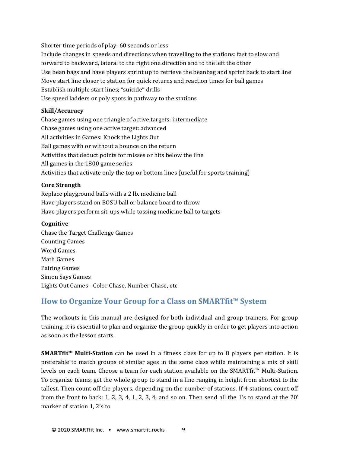Shorter time periods of play: 60 seconds or less Include changes in speeds and directions when travelling to the stations: fast to slow and forward to backward, lateral to the right one direction and to the left the other Use bean bags and have players sprint up to retrieve the beanbag and sprint back to start line Move start line closer to station for quick returns and reaction times for ball games Establish multiple start lines; "suicide" drills Use speed ladders or poly spots in pathway to the stations

#### **Skill/Accuracy**

Chase games using one triangle of active targets: intermediate Chase games using one active target: advanced All activities in Games: Knock the Lights Out Ball games with or without a bounce on the return Activities that deduct points for misses or hits below the line All games in the 1800 game series Activities that activate only the top or bottom lines (useful for sports training)

#### **Core Strength**

Replace playground balls with a 2 lb. medicine ball Have players stand on BOSU ball or balance board to throw Have players perform sit-ups while tossing medicine ball to targets

#### **Cognitive**

Chase the Target Challenge Games Counting Games Word Games Math Games Pairing Games Simon Says Games Lights Out Games - Color Chase, Number Chase, etc.

#### <span id="page-8-0"></span>**How to Organize Your Group for a Class on SMARTfit™ System**

The workouts in this manual are designed for both individual and group trainers. For group training, it is essential to plan and organize the group quickly in order to get players into action as soon as the lesson starts.

**SMARTfit™ Multi-Station** can be used in a fitness class for up to 8 players per station. It is preferable to match groups of similar ages in the same class while maintaining a mix of skill levels on each team. Choose a team for each station available on the SMARTfit™ Multi-Station. To organize teams, get the whole group to stand in a line ranging in height from shortest to the tallest. Then count off the players, depending on the number of stations. If 4 stations, count off from the front to back: 1, 2, 3, 4, 1, 2, 3, 4, and so on. Then send all the 1's to stand at the 20' marker of station 1, 2's to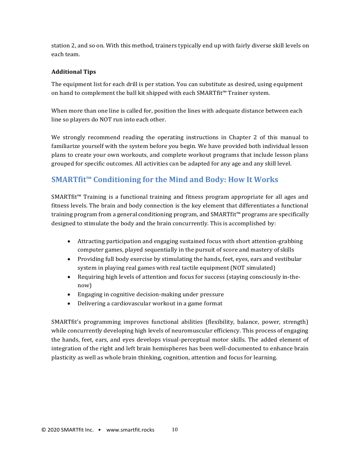station 2, and so on. With this method, trainers typically end up with fairly diverse skill levels on each team.

#### **Additional Tips**

The equipment list for each drill is per station. You can substitute as desired, using equipment on hand to complement the ball kit shipped with each SMARTfit™ Trainer system.

When more than one line is called for, position the lines with adequate distance between each line so players do NOT run into each other.

We strongly recommend reading the operating instructions in Chapter 2 of this manual to familiarize yourself with the system before you begin. We have provided both individual lesson plans to create your own workouts, and complete workout programs that include lesson plans grouped for specific outcomes. All activities can be adapted for any age and any skill level.

#### <span id="page-9-0"></span>**SMARTfit™ Conditioning for the Mind and Body: How It Works**

SMARTfit™ Training is a functional training and fitness program appropriate for all ages and fitness levels. The brain and body connection is the key element that differentiates a functional training program from a general conditioning program, and SMARTfit™ programs are specifically designed to stimulate the body and the brain concurrently. This is accomplished by:

- Attracting participation and engaging sustained focus with short attention-grabbing computer games, played sequentially in the pursuit of score and mastery of skills
- Providing full body exercise by stimulating the hands, feet, eyes, ears and vestibular system in playing real games with real tactile equipment (NOT simulated)
- Requiring high levels of attention and focus for success (staying consciously in-thenow)
- Engaging in cognitive decision-making under pressure
- Delivering a cardiovascular workout in a game format

SMARTfit's programming improves functional abilities (flexibility, balance, power, strength) while concurrently developing high levels of neuromuscular efficiency. This process of engaging the hands, feet, ears, and eyes develops visual-perceptual motor skills. The added element of integration of the right and left brain hemispheres has been well-documented to enhance brain plasticity as well as whole brain thinking, cognition, attention and focus for learning.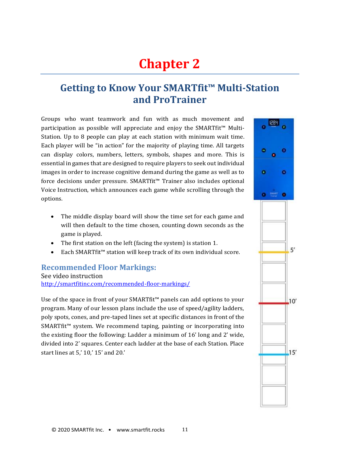## <span id="page-10-0"></span>**Chapter 2**

### <span id="page-10-1"></span>**Getting to Know Your SMARTfit™ Multi-Station and ProTrainer**

Groups who want teamwork and fun with as much movement and participation as possible will appreciate and enjoy the SMARTfit™ Multi-Station. Up to 8 people can play at each station with minimum wait time. Each player will be "in action" for the majority of playing time. All targets can display colors, numbers, letters, symbols, shapes and more. This is essential in games that are designed to require players to seek out individual images in order to increase cognitive demand during the game as well as to force decisions under pressure. SMARTfit™ Trainer also includes optional Voice Instruction, which announces each game while scrolling through the options.

- The middle display board will show the time set for each game and will then default to the time chosen, counting down seconds as the game is played.
- The first station on the left (facing the system) is station 1.
- Each SMARTfit™ station will keep track of its own individual score.

#### <span id="page-10-2"></span>**Recommended Floor Markings:**

See video instruction <http://smartfitinc.com/recommended-floor-markings/>

Use of the space in front of your SMARTfit™ panels can add options to your program. Many of our lesson plans include the use of speed/agility ladders, poly spots, cones, and pre-taped lines set at specific distances in front of the SMARTfit™ system. We recommend taping, painting or incorporating into the existing floor the following: Ladder a minimum of 16' long and 2' wide, divided into 2' squares. Center each ladder at the base of each Station. Place start lines at 5,' 10,' 15' and 20.'

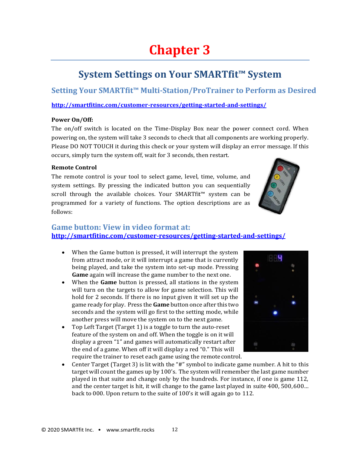## <span id="page-11-0"></span>**Chapter 3**

### **System Settings on Your SMARTfit™ System**

<span id="page-11-2"></span><span id="page-11-1"></span>**Setting Your SMARTfit™ Multi-Station/ProTrainer to Perform as Desired**

**<http://smartfitinc.com/customer-resources/getting-started-and-settings/>**

#### **Power On/Off:**

The on/off switch is located on the Time-Display Box near the power connect cord. When powering on, the system will take 3 seconds to check that all components are working properly. Please DO NOT TOUCH it during this check or your system will display an error message. If this occurs, simply turn the system off, wait for 3 seconds, then restart.

#### **Remote Control**

The remote control is your tool to select game, level, time, volume, and system settings. By pressing the indicated button you can sequentially scroll through the available choices. Your SMARTfit™ system can be programmed for a variety of functions. The option descriptions are as follows:



#### <span id="page-11-3"></span>**Game button: View in video format at: <http://smartfitinc.com/customer-resources/getting-started-and-settings/>**

- When the Game button is pressed, it will interrupt the system from attract mode, or it will interrupt a game that is currently being played, and take the system into set-up mode. Pressing **Game** again will increase the game number to the next one.
- When the **Game** button is pressed, all stations in the system will turn on the targets to allow for game selection. This will hold for 2 seconds. If there is no input given it will set up the game ready for play. Press the **Game** button once after this two seconds and the system will go first to the setting mode, while another press will move the system on to the next game.
- Top Left Target (Target 1) is a toggle to turn the auto-reset feature of the system on and off. When the toggle is on it will display a green "1" and games will automatically restart after the end of a game. When off it will display a red "0." This will require the trainer to reset each game using the remotecontrol.



• Center Target (Target 3) is lit with the "#" symbol to indicate game number. A hit to this target will count the games up by 100's. The system will remember the last game number played in that suite and change only by the hundreds. For instance, if one is game 112, and the center target is hit, it will change to the game last played in suite 400, 500,600… back to 000. Upon return to the suite of 100's it will again go to 112.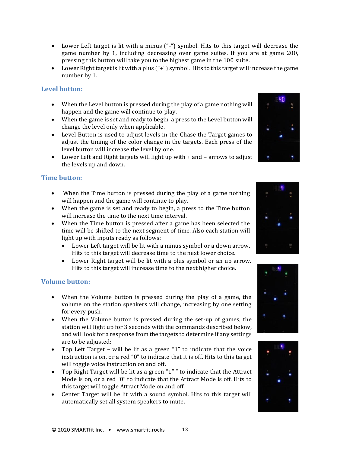© 2020 SMARTfit Inc. • www.smartfit.rocks 13

- Lower Left target is lit with a minus ("-") symbol. Hits to this target will decrease the game number by 1, including decreasing over game suites. If you are at game 200, pressing this button will take you to the highest game in the 100 suite.
- Lower Right target is lit with a plus ("+") symbol. Hits to this target will increase the game number by 1.

#### <span id="page-12-0"></span>**Level button:**

- When the Level button is pressed during the play of a game nothing will happen and the game will continue to play.
- When the game is set and ready to begin, a press to the Level button will change the level only when applicable.
- Level Button is used to adjust levels in the Chase the Target games to adjust the timing of the color change in the targets. Each press of the level button will increase the level by one.
- Lower Left and Right targets will light up with + and arrows to adjust the levels up and down.

#### <span id="page-12-1"></span>**Time button:**

- When the Time button is pressed during the play of a game nothing will happen and the game will continue to play.
- When the game is set and ready to begin, a press to the Time button will increase the time to the next time interval.
- When the Time button is pressed after a game has been selected the time will be shifted to the next segment of time. Also each station will light up with inputs ready as follows:
	- Lower Left target will be lit with a minus symbol or a down arrow. Hits to this target will decrease time to the next lower choice.
	- Lower Right target will be lit with a plus symbol or an up arrow. Hits to this target will increase time to the next higher choice.

#### <span id="page-12-2"></span>**Volume button:**

- When the Volume button is pressed during the play of a game, the volume on the station speakers will change, increasing by one setting for every push.
- When the Volume button is pressed during the set-up of games, the station will light up for 3 seconds with the commands described below, and will look for a response from the targets to determine if any settings are to be adjusted:
- Top Left Target will be lit as a green "1" to indicate that the voice instruction is on, or a red "0" to indicate that it is off. Hits to this target will toggle voice instruction on and off.
- Top Right Target will be lit as a green "1" " to indicate that the Attract Mode is on, or a red "0" to indicate that the Attract Mode is off. Hits to this target will toggle Attract Mode on and off.
- Center Target will be lit with a sound symbol. Hits to this target will automatically set all system speakers to mute.







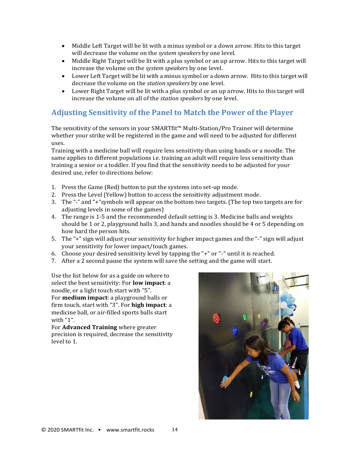- Middle Left Target will be lit with a minus symbol or a down arrow. Hits to this target will decrease the volume on the *system speakers* by one level.
- Middle Right Target will be lit with a plus symbol or an up arrow. Hits to this target will increase the volume on the *system speakers* by one level.
- Lower Left Target will be lit with a minus symbol or a down arrow. Hits to this target will decrease the volume on the *station speakers* by one level.
- Lower Right Target will be lit with a plus symbol or an up arrow. Hits to this target will increase the volume on all of the *station speakers* by one level.

### <span id="page-13-0"></span>**Adjusting Sensitivity of the Panel to Match the Power of the Player**

The sensitivity of the sensors in your SMARTfit™ Multi-Station/Pro Trainer will determine whether your strike will be registered in the game and will need to be adjusted for different uses.

Training with a medicine ball will require less sensitivity than using hands or a noodle. The same applies to different populations i.e. training an adult will require less sensitivity than training a senior or a toddler. If you find that the sensitivity needs to be adjusted for your desired use, refer to directions below:

- 1. Press the Game (Red) button to put the systems into set-up mode.
- 2. Press the Level (Yellow) button to access the sensitivity adjustment mode.
- 3. The "-" and "+"symbols will appear on the bottom two targets. (The top two targets are for adjusting levels in some of the games)
- 4. The range is 1-5 and the recommended default setting is 3. Medicine balls and weights should be 1 or 2, playground balls 3, and hands and noodles should be 4 or 5 depending on how hard the person hits.
- 5. The "+" sign will adjust your sensitivity for higher impact games and the "-" sign will adjust your sensitivity for lower impact/touch games.
- 6. Choose your desired sensitivity level by tapping the "+" or "-" until it is reached.
- 7. After a 2 second pause the system will save the setting and the game will start.

Use the list below for as a guide on where to select the best sensitivity: For **low impact**: a noodle, or a light touch start with "5". For **medium impact**: a playground balls or firm touch, start with "3". For **high impact**: a medicine ball, or air-filled sports balls start with "1".

For **Advanced Training** where greater precision is required, decrease the sensitivity level to 1.

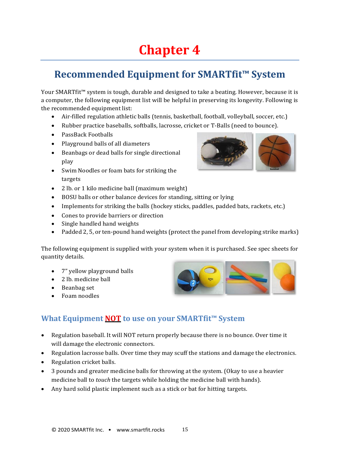# <span id="page-14-0"></span>**Chapter 4**

### <span id="page-14-1"></span>**Recommended Equipment for SMARTfit™ System**

Your SMARTfit™ system is tough, durable and designed to take a beating. However, because it is a computer, the following equipment list will be helpful in preserving its longevity. Following is the recommended equipment list:

- Air-filled regulation athletic balls (tennis, basketball, football, volleyball, soccer, etc.)
- Rubber practice baseballs, softballs, lacrosse, cricket or T-Balls (need to bounce).
- PassBack Footballs
- Playground balls of all diameters
- Beanbags or dead balls for single directional play
- Swim Noodles or foam bats for striking the targets
- 2 lb. or 1 kilo medicine ball (maximum weight)
- BOSU balls or other balance devices for standing, sitting or lying
- Implements for striking the balls (hockey sticks, paddles, padded bats, rackets, etc.)
- Cones to provide barriers or direction
- Single handled hand weights
- Padded 2, 5, or ten-pound hand weights (protect the panel from developing strike marks)

The following equipment is supplied with your system when it is purchased. See spec sheets for quantity details.

- 7" yellow playground balls
- 2 lb. medicine ball
- Beanbag set
- Foam noodles



### <span id="page-14-2"></span>**What Equipment NOT to use on your SMARTfit™ System**

- Regulation baseball. It will NOT return properly because there is no bounce. Over time it will damage the electronic connectors.
- Regulation lacrosse balls. Over time they may scuff the stations and damage the electronics.
- Regulation cricket balls.
- 3 pounds and greater medicine balls for throwing at the system. (Okay to use a heavier medicine ball to *touch* the targets while holding the medicine ball with hands).
- Any hard solid plastic implement such as a stick or bat for hitting targets.

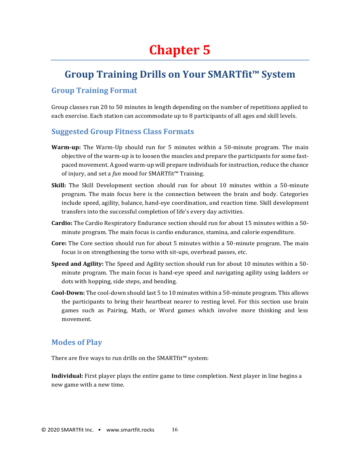### <span id="page-15-0"></span>**Group Training Drills on Your SMARTfit™ System**

#### <span id="page-15-2"></span><span id="page-15-1"></span>**Group Training Format**

Group classes run 20 to 50 minutes in length depending on the number of repetitions applied to each exercise. Each station can accommodate up to 8 participants of all ages and skill levels.

#### <span id="page-15-3"></span>**Suggested Group Fitness Class Formats**

- **Warm-up:** The Warm-Up should run for 5 minutes within a 50-minute program. The main objective of the warm-up is to loosen the muscles and prepare the participants for some fastpaced movement. A good warm-up will prepare individuals for instruction, reduce the chance of injury, and set a *fun* mood for SMARTfit™ Training.
- **Skill:** The Skill Development section should run for about 10 minutes within a 50-minute program. The main focus here is the connection between the brain and body. Categories include speed, agility, balance, hand-eye coordination, and reaction time. Skill development transfers into the successful completion of life's every day activities.
- **Cardio:** The Cardio Respiratory Endurance section should run for about 15 minutes within a 50 minute program. The main focus is cardio endurance, stamina, and calorie expenditure.
- **Core:** The Core section should run for about 5 minutes within a 50-minute program. The main focus is on strengthening the torso with sit-ups, overhead passes, etc.
- **Speed and Agility:** The Speed and Agility section should run for about 10 minutes within a 50 minute program. The main focus is hand-eye speed and navigating agility using ladders or dots with hopping, side steps, and bending.
- **Cool-Down:** The cool-down should last 5 to 10 minutes within a 50-minute program. This allows the participants to bring their heartbeat nearer to resting level. For this section use brain games such as Pairing, Math, or Word games which involve more thinking and less movement.

#### <span id="page-15-4"></span>**Modes of Play**

There are five ways to run drills on the SMARTfit™ system:

**Individual:** First player plays the entire game to time completion. Next player in line begins a new game with a new time.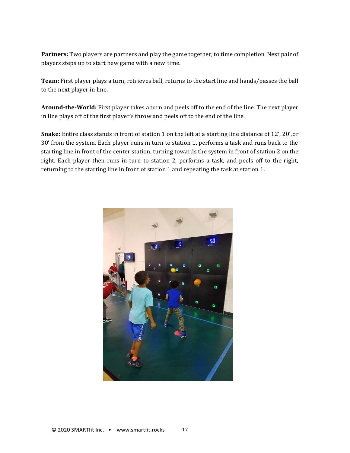**Partners:** Two players are partners and play the game together, to time completion. Next pair of players steps up to start new game with a new time.

**Team:** First player plays a turn, retrieves ball, returns to the start line and hands/passes the ball to the next player in line.

**Around-the-World:** First player takes a turn and peels off to the end of the line. The next player in line plays off of the first player's throw and peels off to the end of the line.

**Snake:** Entire class stands in front of station 1 on the left at a starting line distance of 12', 20',or 30' from the system. Each player runs in turn to station 1, performs a task and runs back to the starting line in front of the center station, turning towards the system in front of station 2 on the right. Each player then runs in turn to station 2, performs a task, and peels off to the right, returning to the starting line in front of station 1 and repeating the task at station 1.

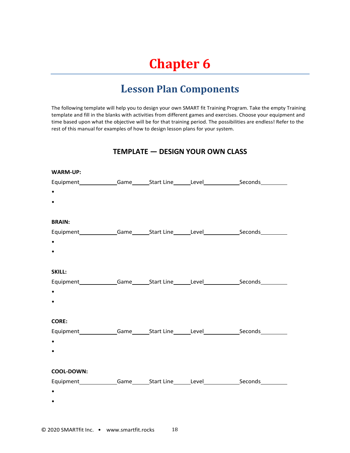## <span id="page-17-0"></span>**Chapter 6**

### **Lesson Plan Components**

<span id="page-17-1"></span>The following template will help you to design your own SMART fit Training Program. Take the empty Training template and fill in the blanks with activities from different games and exercises. Choose your equipment and time based upon what the objective will be for that training period. The possibilities are endless! Refer to the rest of this manual for examples of how to design lesson plans for your system.

#### **TEMPLATE — DESIGN YOUR OWN CLASS**

| <b>WARM-UP:</b> |  |                                                                                            |
|-----------------|--|--------------------------------------------------------------------------------------------|
|                 |  | Equipment______________Game_______Start Line_______Level_________________________          |
| $\bullet$       |  |                                                                                            |
|                 |  |                                                                                            |
|                 |  |                                                                                            |
| <b>BRAIN:</b>   |  |                                                                                            |
|                 |  | Equipment______________Game_______Start Line_______Level________________Seconds___________ |
| $\bullet$       |  |                                                                                            |
|                 |  |                                                                                            |
|                 |  |                                                                                            |
| SKILL:          |  |                                                                                            |
|                 |  | Equipment_____________Game______Start Line______Level___________________________           |
| $\bullet$       |  |                                                                                            |
|                 |  |                                                                                            |
|                 |  |                                                                                            |
| <b>CORE:</b>    |  |                                                                                            |
|                 |  | Equipment_____________Game______Start Line______Level___________________________           |
| $\bullet$       |  |                                                                                            |
|                 |  |                                                                                            |
|                 |  |                                                                                            |
| COOL-DOWN:      |  |                                                                                            |
|                 |  | Equipment Game Start Line Level Seconds Communications                                     |
| $\bullet$       |  |                                                                                            |
|                 |  |                                                                                            |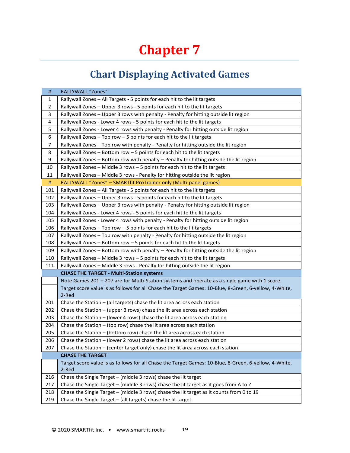## <span id="page-18-0"></span>**Chapter 7**

## **Chart Displaying Activated Games**

<span id="page-18-1"></span>

| #              | <b>RALLYWALL "Zones"</b>                                                                                       |
|----------------|----------------------------------------------------------------------------------------------------------------|
| 1              | Rallywall Zones - All Targets - 5 points for each hit to the lit targets                                       |
| $\overline{2}$ | Rallywall Zones - Upper 3 rows - 5 points for each hit to the lit targets                                      |
| 3              | Rallywall Zones - Upper 3 rows with penalty - Penalty for hitting outside lit region                           |
| 4              | Rallywall Zones - Lower 4 rows - 5 points for each hit to the lit targets                                      |
| 5              | Rallywall Zones - Lower 4 rows with penalty - Penalty for hitting outside lit region                           |
| 6              | Rallywall Zones - Top row - 5 points for each hit to the lit targets                                           |
| 7              | Rallywall Zones - Top row with penalty - Penalty for hitting outside the lit region                            |
| 8              | Rallywall Zones - Bottom row - 5 points for each hit to the lit targets                                        |
| 9              | Rallywall Zones - Bottom row with penalty - Penalty for hitting outside the lit region                         |
| 10             | Rallywall Zones - Middle 3 rows - 5 points for each hit to the lit targets                                     |
| 11             | Rallywall Zones - Middle 3 rows - Penalty for hitting outside the lit region                                   |
| #              | RALLYWALL "Zones" - SMARTfit ProTrainer only (Multi-panel games)                                               |
| 101            | Rallywall Zones - All Targets - 5 points for each hit to the lit targets                                       |
| 102            | Rallywall Zones - Upper 3 rows - 5 points for each hit to the lit targets                                      |
| 103            | Rallywall Zones – Upper 3 rows with penalty - Penalty for hitting outside lit region                           |
| 104            | Rallywall Zones - Lower 4 rows - 5 points for each hit to the lit targets                                      |
| 105            | Rallywall Zones - Lower 4 rows with penalty - Penalty for hitting outside lit region                           |
| 106            | Rallywall Zones - Top row - 5 points for each hit to the lit targets                                           |
| 107            | Rallywall Zones - Top row with penalty - Penalty for hitting outside the lit region                            |
| 108            | Rallywall Zones - Bottom row - 5 points for each hit to the lit targets                                        |
| 109            | Rallywall Zones - Bottom row with penalty - Penalty for hitting outside the lit region                         |
| 110            | Rallywall Zones - Middle 3 rows - 5 points for each hit to the lit targets                                     |
| 111            | Rallywall Zones - Middle 3 rows - Penalty for hitting outside the lit region                                   |
|                | <b>CHASE THE TARGET - Multi-Station systems</b>                                                                |
|                | Note Games 201 - 207 are for Multi-Station systems and operate as a single game with 1 score.                  |
|                | Target score value is as follows for all Chase the Target Games: 10-Blue, 8-Green, 6-yellow, 4-White,          |
|                | 2-Red                                                                                                          |
| 201            | Chase the Station - (all targets) chase the lit area across each station                                       |
| 202            | Chase the Station - (upper 3 rows) chase the lit area across each station                                      |
| 203            | Chase the Station $-$ (lower 4 rows) chase the lit area across each station                                    |
| 204            | Chase the Station - (top row) chase the lit area across each station                                           |
| 205            | Chase the Station $-$ (bottom row) chase the lit area across each station                                      |
| 206            | Chase the Station - (lower 2 rows) chase the lit area across each station                                      |
| 207            | Chase the Station - (center target only) chase the lit area across each station                                |
|                | <b>CHASE THE TARGET</b>                                                                                        |
|                | Target score value is as follows for all Chase the Target Games: 10-Blue, 8-Green, 6-yellow, 4-White,<br>2-Red |
| 216            | Chase the Single Target - (middle 3 rows) chase the lit target                                                 |
| 217            | Chase the Single Target - (middle 3 rows) chase the lit target as it goes from A to Z                          |
| 218            | Chase the Single Target - (middle 3 rows) chase the lit target as it counts from 0 to 19                       |
| 219            | Chase the Single Target - (all targets) chase the lit target                                                   |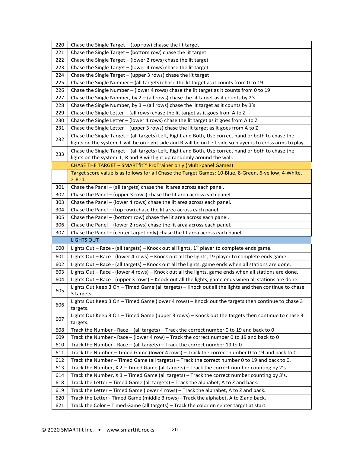| 220 | Chase the Single Target - (top row) chasse the lit target                                                                                                                                                           |
|-----|---------------------------------------------------------------------------------------------------------------------------------------------------------------------------------------------------------------------|
| 221 | Chase the Single Target $-$ (bottom row) chase the lit target                                                                                                                                                       |
| 222 | Chase the Single Target - (lower 2 rows) chase the lit target                                                                                                                                                       |
| 223 | Chase the Single Target - (lower 4 rows) chase the lit target                                                                                                                                                       |
| 224 | Chase the Single Target - (upper 3 rows) chase the lit target                                                                                                                                                       |
| 225 | Chase the Single Number - (all targets) chase the lit target as it counts from 0 to 19                                                                                                                              |
| 226 | Chase the Single Number – (lower 4 rows) chase the lit target as it counts from 0 to 19                                                                                                                             |
| 227 | Chase the Single Number, by $2 - (all rows)$ chase the lit target as it counts by $2's$                                                                                                                             |
| 228 | Chase the Single Number, by $3 -$ (all rows) chase the lit target as it counts by $3's$                                                                                                                             |
| 229 | Chase the Single Letter - (all rows) chase the lit target as it goes from A to Z                                                                                                                                    |
| 230 | Chase the Single Letter - (lower 4 rows) chase the lit target as it goes from A to Z                                                                                                                                |
| 231 | Chase the Single Letter $-$ (upper 3 rows) chase the lit target as it goes from A to Z                                                                                                                              |
| 232 | Chase the Single Target - (all targets) Left, Right and Both, Use correct hand or both to chase the<br>lights on the system. L will be on right side and R will be on Left side so player is to cross arms to play. |
| 233 | Chase the Single Target - (all targets) Left, Right and Both, Use correct hand or both to chase the<br>lights on the system. L, R and B will light up randomly around the wall.                                     |
|     | CHASE THE TARGET - SMARTfit™ ProTrainer only (Multi-panel Games)                                                                                                                                                    |
|     | Target score value is as follows for all Chase the Target Games: 10-Blue, 8-Green, 6-yellow, 4-White,<br>2-Red                                                                                                      |
| 301 | Chase the Panel - (all targets) chase the lit area across each panel.                                                                                                                                               |
| 302 | Chase the Panel - (upper 3 rows) chase the lit area across each panel.                                                                                                                                              |
| 303 | Chase the Panel - (lower 4 rows) chase the lit area across each panel.                                                                                                                                              |
| 304 | Chase the Panel - (top row) chase the lit area across each panel.                                                                                                                                                   |
| 305 | Chase the Panel - (bottom row) chase the lit area across each panel.                                                                                                                                                |
|     |                                                                                                                                                                                                                     |
| 306 | Chase the Panel – (lower 2 rows) chase the lit area across each panel.                                                                                                                                              |
| 307 | Chase the Panel – (center target only) chase the lit area across each panel.                                                                                                                                        |
|     | <b>LIGHTS OUT</b>                                                                                                                                                                                                   |
| 600 | Lights Out - Race - (all targets) - Knock out all lights, $1st$ player to complete ends game.                                                                                                                       |
| 601 | Lights Out – Race - (lower 4 rows) – Knock out all the lights, 1 <sup>st</sup> player to complete ends game                                                                                                         |
| 602 | Lights Out - Race - (all targets) - Knock out all the lights, game ends when all stations are done.                                                                                                                 |
| 603 | Lights Out - Race - (lower 4 rows) - Knock out all the lights, game ends when all stations are done.                                                                                                                |
| 604 | Lights Out - Race - (upper 3 rows) - Knock out all the lights, game ends when all stations are done.                                                                                                                |
| 605 | Lights Out Keep 3 On - Timed Game (all targets) - Knock out all the lights and then continue to chase<br>3 targets.                                                                                                 |
| 606 | Lights Out Keep 3 On - Timed Game (lower 4 rows) - Knock out the targets then continue to chase 3<br>targets.                                                                                                       |
| 607 | Lights Out Keep 3 On - Timed Game (upper 3 rows) - Knock out the targets then continue to chase 3<br>targets.                                                                                                       |
| 608 | Track the Number - Race - (all targets) - Track the correct number 0 to 19 and back to 0                                                                                                                            |
| 609 | Track the Number - Race – (lower 4 row) – Track the correct number 0 to 19 and back to 0                                                                                                                            |
| 610 | Track the Number - Race - (all targets) - Track the correct number 19 to 0                                                                                                                                          |
| 611 | Track the Number - Timed Game (lower 4 rows) - Track the correct number 0 to 19 and back to 0.                                                                                                                      |
| 612 | Track the Number - Timed Game (all targets) - Track the correct number 0 to 19 and back to 0.                                                                                                                       |
| 613 | Track the Number, $X 2$ – Timed Game (all targets) – Track the correct number counting by 2's.                                                                                                                      |
| 614 | Track the Number, X 3 - Timed Game (all targets) - Track the correct number counting by 3's.                                                                                                                        |
| 618 | Track the Letter - Timed Game (all targets) - Track the alphabet, A to Z and back.                                                                                                                                  |
| 619 | Track the Letter - Timed Game (lower 4 rows) - Track the alphabet, A to Z and back.                                                                                                                                 |
| 620 | Track the Letter - Timed Game (middle 3 rows) - Track the alphabet, A to Z and back.                                                                                                                                |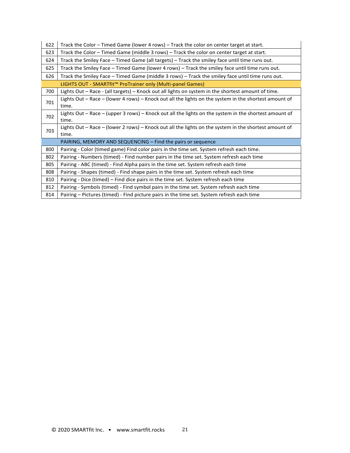| 622 | Track the Color - Timed Game (lower 4 rows) - Track the color on center target at start.                       |
|-----|----------------------------------------------------------------------------------------------------------------|
| 623 | Track the Color - Timed Game (middle 3 rows) - Track the color on center target at start.                      |
| 624 | Track the Smiley Face - Timed Game (all targets) - Track the smiley face until time runs out.                  |
| 625 | Track the Smiley Face - Timed Game (lower 4 rows) - Track the smiley face until time runs out.                 |
| 626 | Track the Smiley Face - Timed Game (middle 3 rows) - Track the smiley face until time runs out.                |
|     | LIGHTS OUT - SMARTfit™ ProTrainer only (Multi-panel Games)                                                     |
| 700 | Lights Out - Race - (all targets) - Knock out all lights on system in the shortest amount of time.             |
| 701 | Lights Out - Race - (lower 4 rows) - Knock out all the lights on the system in the shortest amount of<br>time. |
| 702 | Lights Out - Race - (upper 3 rows) - Knock out all the lights on the system in the shortest amount of<br>time. |
| 703 | Lights Out – Race – (lower 2 rows) – Knock out all the lights on the system in the shortest amount of<br>time. |
|     | PAIRING, MEMORY AND SEQUENCING – Find the pairs or sequence                                                    |
| 800 | Pairing - Color (timed game) Find color pairs in the time set. System refresh each time.                       |
| 802 | Pairing - Numbers (timed) - Find number pairs in the time set. System refresh each time                        |
| 805 | Pairing - ABC (timed) - Find Alpha pairs in the time set. System refresh each time                             |
| 808 | Pairing - Shapes (timed) - Find shape pairs in the time set. System refresh each time                          |
| 810 | Pairing - Dice (timed) – Find dice pairs in the time set. System refresh each time                             |
| 812 | Pairing - Symbols (timed) - Find symbol pairs in the time set. System refresh each time                        |
| 814 | Pairing - Pictures (timed) - Find picture pairs in the time set. System refresh each time                      |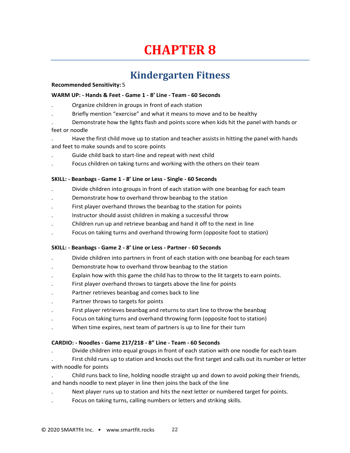## **CHAPTER 8**

### <span id="page-21-1"></span>**Kindergarten Fitness**

#### **Recommended Sensitivity:** 5

#### <span id="page-21-0"></span>**WARM UP: - Hands & Feet - Game 1 - 8' Line - Team - 60 Seconds**

- . Organize children in groups in front of each station
- . Briefly mention "exercise" and what it means to move and to be healthy

. Demonstrate how the lights flash and points score when kids hit the panel with hands or feet or noodle

- . Have the first child move up to station and teacher assists in hitting the panel with hands and feet to make sounds and to score points
- . Guide child back to start-line and repeat with next child
- . Focus children on taking turns and working with the others on their team

#### **SKILL: - Beanbags - Game 1 - 8' Line or Less - Single - 60 Seconds**

- . Divide children into groups in front of each station with one beanbag for each team
- . Demonstrate how to overhand throw beanbag to the station
- . First player overhand throws the beanbag to the station for points
- . Instructor should assist children in making a successful throw
- . Children run up and retrieve beanbag and hand it off to the next in line
- . Focus on taking turns and overhand throwing form (opposite foot to station)

#### **SKILL: - Beanbags - Game 2 - 8' Line or Less - Partner - 60 Seconds**

- . Divide children into partners in front of each station with one beanbag for each team
- . Demonstrate how to overhand throw beanbag to the station
- . Explain how with this game the child has to throw to the lit targets to earn points.
- . First player overhand throws to targets above the line for points
- Partner retrieves beanbag and comes back to line
- . Partner throws to targets for points
- . First player retrieves beanbag and returns to start line to throw the beanbag
- . Focus on taking turns and overhand throwing form (opposite foot to station)
- . When time expires, next team of partners is up to line for their turn

#### **CARDIO: - Noodles - Game 217/218 - 8" Line - Team - 60 Seconds**

- . Divide children into equal groups in front of each station with one noodle for each team
- . First child runs up to station and knocks out the first target and calls out its number or letter with noodle for points
- . Child runs back to line, holding noodle straight up and down to avoid poking their friends, and hands noodle to next player in line then joins the back of the line
- . Next player runs up to station and hits the next letter or numbered target for points.
- . Focus on taking turns, calling numbers or letters and striking skills.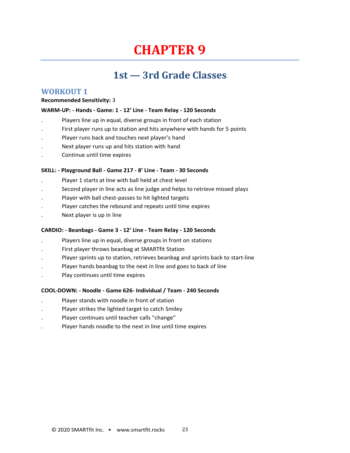## **CHAPTER 9**

### <span id="page-22-1"></span>**1st — 3rd Grade Classes**

#### **WORKOUT 1**

#### <span id="page-22-0"></span>**Recommended Sensitivity:** 3

#### **WARM-UP: - Hands - Game: 1 - 12' Line - Team Relay - 120 Seconds**

- . Players line up in equal, diverse groups in front of each station
- First player runs up to station and hits anywhere with hands for 5 points
- . Player runs back and touches next player's hand
- . Next player runs up and hits station with hand
- . Continue until time expires

#### **SKILL: - Playground Ball - Game 217 - 8' Line - Team - 30 Seconds**

- . Player 1 starts at line with ball held at chest level
- . Second player in line acts as line judge and helps to retrieve missed plays
- Player with ball chest-passes to hit lighted targets
- . Player catches the rebound and repeats until time expires
- . Next player is up in line

#### **CARDIO: - Beanbags - Game 3 - 12' Line - Team Relay - 120 Seconds**

- . Players line up in equal, diverse groups in front on stations
- . First player throws beanbag at SMARTfit Station
- . Player sprints up to station, retrieves beanbag and sprints back to start-line
- Player hands beanbag to the next in line and goes to back of line
- . Play continues until time expires

#### **COOL-DOWN: - Noodle - Game 626- Individual / Team - 240 Seconds**

- . Player stands with noodle in front of station
- . Player strikes the lighted target to catch Smiley
- . Player continues until teacher calls "change"
- . Player hands noodle to the next in line until time expires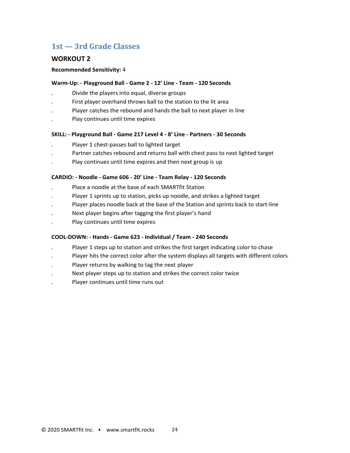#### **WORKOUT 2**

#### **Recommended Sensitivity:** 4

#### **Warm-Up: - Playground Ball - Game 2 - 12' Line - Team - 120 Seconds**

- . Divide the players into equal, diverse groups
- . First player overhand throws ball to the station to the lit area
- . Player catches the rebound and hands the ball to next player in line
- . Play continues until time expires

#### **SKILL: - Playground Ball - Game 217 Level 4 - 8' Line - Partners - 30 Seconds**

- . Player 1 chest-passes ball to lighted target
- . Partner catches rebound and returns ball with chest pass to next lighted target
- . Play continues until time expires and then next group is up

#### **CARDIO: - Noodle - Game 606 - 20' Line - Team Relay - 120 Seconds**

- . Place a noodle at the base of each SMARTfit Station
- . Player 1 sprints up to station, picks up noodle, and strikes a lighted target
- . Player places noodle back at the base of the Station and sprints back to start-line
- . Next player begins after tagging the first player's hand
- . Play continues until time expires

#### **COOL-DOWN: - Hands - Game 623 - Individual / Team - 240 Seconds**

- . Player 1 steps up to station and strikes the first target indicating color to chase
- . Player hits the correct color after the system displays all targets with different colors
- Player returns by walking to tag the next player
- Next player steps up to station and strikes the correct color twice
- . Player continues until time runs out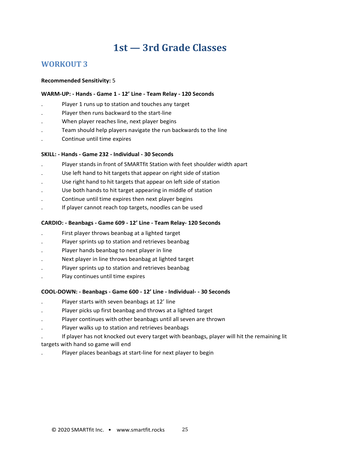#### **WORKOUT 3**

#### **Recommended Sensitivity:** 5

#### **WARM-UP: - Hands - Game 1 - 12' Line - Team Relay - 120 Seconds**

- Player 1 runs up to station and touches any target
- . Player then runs backward to the start-line
- . When player reaches line, next player begins
- . Team should help players navigate the run backwards to the line
- . Continue until time expires

#### **SKILL: - Hands - Game 232 - Individual - 30 Seconds**

- . Player stands in front of SMARTfit Station with feet shoulder width apart
- Use left hand to hit targets that appear on right side of station
- . Use right hand to hit targets that appear on left side of station
- . Use both hands to hit target appearing in middle of station
- . Continue until time expires then next player begins
- . If player cannot reach top targets, noodles can be used

#### **CARDIO: - Beanbags - Game 609 - 12' Line - Team Relay- 120 Seconds**

- . First player throws beanbag at a lighted target
- Player sprints up to station and retrieves beanbag
- . Player hands beanbag to next player in line
- . Next player in line throws beanbag at lighted target
- Player sprints up to station and retrieves beanbag
- . Play continues until time expires

#### **COOL-DOWN: - Beanbags - Game 600 - 12' Line - Individual- - 30 Seconds**

- . Player starts with seven beanbags at 12' line
- . Player picks up first beanbag and throws at a lighted target
- . Player continues with other beanbags until all seven are thrown
- . Player walks up to station and retrieves beanbags
- . If player has not knocked out every target with beanbags, player will hit the remaining lit targets with hand so game will end
- . Player places beanbags at start-line for next player to begin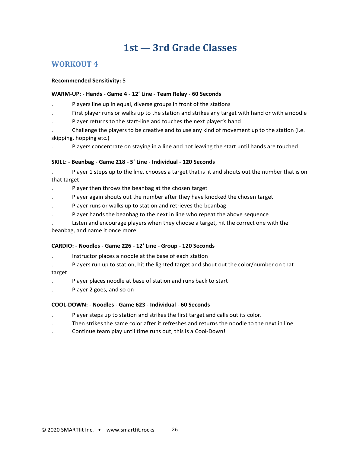#### **WORKOUT 4**

#### **Recommended Sensitivity:** 5

#### **WARM-UP: - Hands - Game 4 - 12' Line - Team Relay - 60 Seconds**

- . Players line up in equal, diverse groups in front of the stations
- . First player runs or walks up to the station and strikes any target with hand or with a noodle
- . Player returns to the start-line and touches the next player's hand
- . Challenge the players to be creative and to use any kind of movement up to the station (i.e. skipping, hopping etc.)
- . Players concentrate on staying in a line and not leaving the start until hands are touched

#### **SKILL: - Beanbag - Game 218 - 5' Line - Individual - 120 Seconds**

- . Player 1 steps up to the line, chooses a target that is lit and shouts out the number that is on that target
- Player then throws the beanbag at the chosen target
- . Player again shouts out the number after they have knocked the chosen target
- . Player runs or walks up to station and retrieves the beanbag
- Player hands the beanbag to the next in line who repeat the above sequence
- . Listen and encourage players when they choose a target, hit the correct one with the

beanbag, and name it once more

#### **CARDIO: - Noodles - Game 226 - 12' Line - Group - 120 Seconds**

- . Instructor places a noodle at the base of each station
- . Players run up to station, hit the lighted target and shout out the color/number on that

target

- . Player places noodle at base of station and runs back to start
- . Player 2 goes, and so on

#### **COOL-DOWN: - Noodles - Game 623 - Individual - 60 Seconds**

- . Player steps up to station and strikes the first target and calls out its color.
- . Then strikes the same color after it refreshes and returns the noodle to the next in line
- . Continue team play until time runs out; this is a Cool-Down!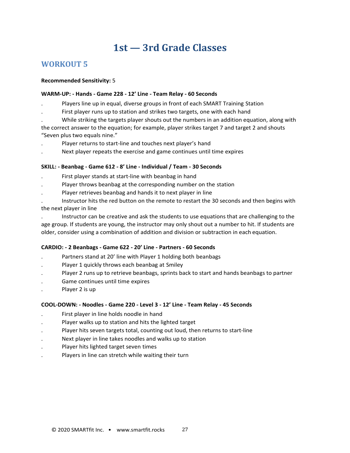#### **WORKOUT 5**

#### **Recommended Sensitivity:** 5

#### **WARM-UP: - Hands - Game 228 - 12' Line - Team Relay - 60 Seconds**

- . Players line up in equal, diverse groups in front of each SMART Training Station
- . First player runs up to station and strikes two targets, one with each hand
- . While striking the targets player shouts out the numbers in an addition equation, along with
- the correct answer to the equation; for example, player strikes target 7 and target 2 and shouts "Seven plus two equals nine."
- . Player returns to start-line and touches next player's hand
- . Next player repeats the exercise and game continues until time expires

#### **SKILL: - Beanbag - Game 612 - 8' Line - Individual / Team - 30 Seconds**

- . First player stands at start-line with beanbag in hand
- . Player throws beanbag at the corresponding number on the station
- . Player retrieves beanbag and hands it to next player in line
- . Instructor hits the red button on the remote to restart the 30 seconds and then begins with the next player in line

. Instructor can be creative and ask the students to use equations that are challenging to the age group. If students are young, the instructor may only shout out a number to hit. If students are older, consider using a combination of addition and division or subtraction in each equation.

#### **CARDIO: - 2 Beanbags - Game 622 - 20' Line - Partners - 60 Seconds**

- Partners stand at 20' line with Player 1 holding both beanbags
- Player 1 quickly throws each beanbag at Smiley
- . Player 2 runs up to retrieve beanbags, sprints back to start and hands beanbags to partner
- . Game continues until time expires
- Player 2 is up

#### **COOL-DOWN: - Noodles - Game 220 - Level 3 - 12' Line - Team Relay - 45 Seconds**

- . First player in line holds noodle in hand
- . Player walks up to station and hits the lighted target
- Player hits seven targets total, counting out loud, then returns to start-line
- . Next player in line takes noodles and walks up to station
- . Player hits lighted target seven times
- . Players in line can stretch while waiting their turn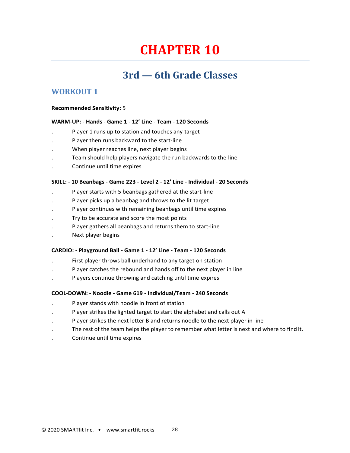## **CHAPTER 10**

### **3rd — 6th Grade Classes**

#### <span id="page-27-0"></span>**WORKOUT 1**

#### **Recommended Sensitivity:** 5

#### **WARM-UP: - Hands - Game 1 - 12' Line - Team - 120 Seconds**

- Player 1 runs up to station and touches any target
- . Player then runs backward to the start-line
- . When player reaches line, next player begins
- . Team should help players navigate the run backwards to the line
- . Continue until time expires

#### **SKILL: - 10 Beanbags - Game 223 - Level 2 - 12' Line - Individual - 20 Seconds**

- . Player starts with 5 beanbags gathered at the start-line
- . Player picks up a beanbag and throws to the lit target
- . Player continues with remaining beanbags until time expires
- . Try to be accurate and score the most points
- . Player gathers all beanbags and returns them to start-line
- . Next player begins

#### **CARDIO: - Playground Ball - Game 1 - 12' Line - Team - 120 Seconds**

- . First player throws ball underhand to any target on station
- . Player catches the rebound and hands off to the next player in line
- . Players continue throwing and catching until time expires

#### **COOL-DOWN: - Noodle - Game 619 - Individual/Team - 240 Seconds**

- . Player stands with noodle in front of station
- . Player strikes the lighted target to start the alphabet and calls out A
- Player strikes the next letter B and returns noodle to the next player in line
- . The rest of the team helps the player to remember what letter is next and where to find it.
- . Continue until time expires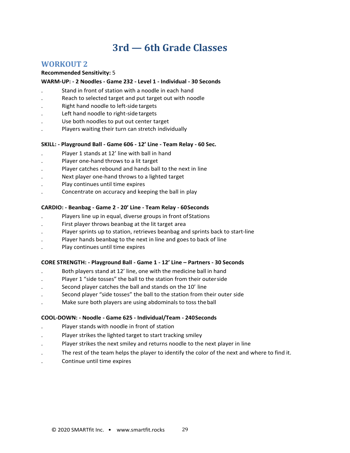### **3rd — 6th Grade Classes**

#### **WORKOUT 2**

#### **Recommended Sensitivity:** 5

#### **WARM-UP: - 2 Noodles - Game 232 - Level 1 - Individual - 30 Seconds**

- Stand in front of station with a noodle in each hand
- . Reach to selected target and put target out with noodle
- . Right hand noodle to left-side targets
- Left hand noodle to right-side targets
- Use both noodles to put out center target
- . Players waiting their turn can stretch individually

#### **SKILL: - Playground Ball - Game 606 - 12' Line - Team Relay - 60 Sec.**

- Player 1 stands at 12' line with ball in hand
- . Player one-hand throws to a lit target
- . Player catches rebound and hands ball to the next in line
- . Next player one-hand throws to a lighted target
- . Play continues until time expires
- . Concentrate on accuracy and keeping the ball in play

#### **CARDIO: - Beanbag - Game 2 - 20' Line - Team Relay - 60Seconds**

- Players line up in equal, diverse groups in front of Stations
- . First player throws beanbag at the lit target area
- . Player sprints up to station, retrieves beanbag and sprints back to start-line
- . Player hands beanbag to the next in line and goes to back of line
- . Play continues until time expires

#### **CORE STRENGTH: - Playground Ball - Game 1 - 12' Line – Partners - 30 Seconds**

- . Both players stand at 12' line, one with the medicine ball in hand
- . Player 1 "side tosses" the ball to the station from their outerside
- Second player catches the ball and stands on the 10' line
- . Second player "side tosses" the ball to the station from their outer side
- . Make sure both players are using abdominals to toss theball

#### **COOL-DOWN: - Noodle - Game 625 - Individual/Team - 240Seconds**

- . Player stands with noodle in front of station
- . Player strikes the lighted target to start tracking smiley
- . Player strikes the next smiley and returns noodle to the next player in line
- . The rest of the team helps the player to identify the color of the next and where to find it.
- . Continue until time expires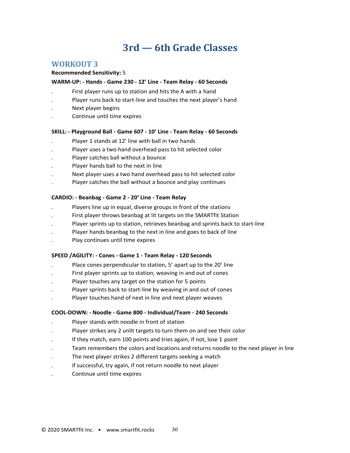### **3rd — 6th Grade Classes**

#### <span id="page-29-0"></span>**WORKOUT 3**

#### **Recommended Sensitivity:** 5

#### **WARM-UP: - Hands - Game 230 - 12' Line - Team Relay - 60 Seconds**

- . First player runs up to station and hits the A with a hand
- . Player runs back to start-line and touches the next player's hand
- . Next player begins
- . Continue until time expires

#### **SKILL: - Playground Ball - Game 607 - 10' Line - Team Relay - 60 Seconds**

- Player 1 stands at 12' line with ball in two hands
- . Player uses a two hand overhead pass to hit selected color
- . Player catches ball without a bounce
- . Player hands ball to the next in line
- . Next player uses a two hand overhead pass to hit selected color
- . Player catches the ball without a bounce and play continues

#### **CARDIO: - Beanbag - Game 2 - 20' Line - Team Relay**

- . Players line up in equal, diverse groups in front of the stations
- . First player throws beanbag at lit targets on the SMARTfit Station
- . Player sprints up to station, retrieves beanbag and sprints back to start-line
- . Player hands beanbag to the next in line and goes to back of line
- . Play continues until time expires

#### **SPEED /AGILITY: - Cones - Game 1 - Team Relay - 120 Seconds**

- Place cones perpendicular to station, 5' apart up to the 20' line
- . First player sprints up to station, weaving in and out of cones
- . Player touches any target on the station for 5 points
- . Player sprints back to start-line by weaving in and out of cones
- . Player touches hand of next in line and next player weaves

#### **COOL-DOWN: - Noodle - Game 800 - Individual/Team - 240 Seconds**

- . Player stands with noodle in front of station
- Player strikes any 2 unlit targets to turn them on and see their color
- If they match, earn 100 points and tries again, if not, lose 1 point
- . Team remembers the colors and locations and returns noodle to the next player in line
- . The next player strikes 2 different targets seeking a match
- if successful, try again, if not return noodle to next player
- . Continue until time expires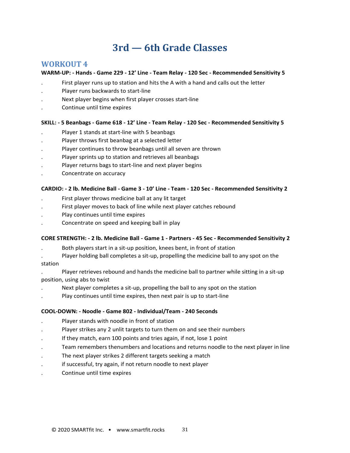### **3rd — 6th Grade Classes**

#### <span id="page-30-0"></span>**WORKOUT 4**

#### **WARM-UP: - Hands - Game 229 - 12' Line - Team Relay - 120 Sec - Recommended Sensitivity 5**

- . First player runs up to station and hits the A with a hand and calls out the letter
- . Player runs backwards to start-line
- . Next player begins when first player crosses start-line
- . Continue until time expires

#### **SKILL: - 5 Beanbags - Game 618 - 12' Line - Team Relay - 120 Sec - Recommended Sensitivity 5**

- . Player 1 stands at start-line with 5 beanbags
- . Player throws first beanbag at a selected letter
- . Player continues to throw beanbags until all seven are thrown
- . Player sprints up to station and retrieves all beanbags
- . Player returns bags to start-line and next player begins
- . Concentrate on accuracy

#### **CARDIO: - 2 lb. Medicine Ball - Game 3 - 10' Line - Team - 120 Sec - Recommended Sensitivity 2**

- . First player throws medicine ball at any lit target
- . First player moves to back of line while next player catches rebound
- . Play continues until time expires
- . Concentrate on speed and keeping ball in play

#### **CORE STRENGTH: - 2 lb. Medicine Ball - Game 1 - Partners - 45 Sec - Recommended Sensitivity 2**

- . Both players start in a sit-up position, knees bent, in front of station
- . Player holding ball completes a sit-up, propelling the medicine ball to any spot on the
- station

#### . Player retrieves rebound and hands the medicine ball to partner while sitting in a sit-up position, using abs to twist

- Next player completes a sit-up, propelling the ball to any spot on the station
- . Play continues until time expires, then next pair is up to start-line

#### **COOL-DOWN: - Noodle - Game 802 - Individual/Team - 240 Seconds**

- . Player stands with noodle in front of station
- Player strikes any 2 unlit targets to turn them on and see their numbers
- . If they match, earn 100 points and tries again, if not, lose 1 point
- . Team remembers thenumbers and locations and returns noodle to the next player in line
- . The next player strikes 2 different targets seeking a match
- if successful, try again, if not return noodle to next player
- . Continue until time expires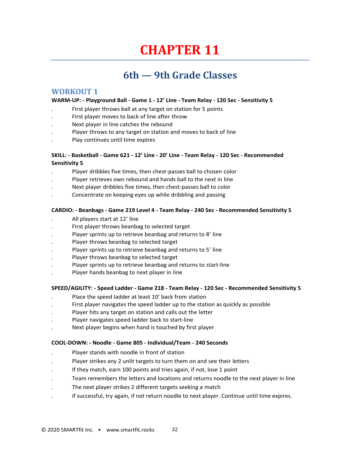## **CHAPTER 11**

### **6th — 9th Grade Classes**

#### **WORKOUT 1**

#### **WARM-UP: - Playground Ball - Game 1 - 12' Line - Team Relay - 120 Sec - Sensitivity 5**

- . First player throws ball at any target on station for 5 points
- . First player moves to back of line after throw
- . Next player in line catches the rebound
- Player throws to any target on station and moves to back of line
- . Play continues until time expires

#### **SKILL: - Basketball - Game 621 - 12' Line - 20' Line - Team Relay - 120 Sec - Recommended Sensitivity 5**

- . Player dribbles five times, then chest-passes ball to chosen color
- . Player retrieves own rebound and hands ball to the next in line
- . Next player dribbles five times, then chest-passes ball to color
- . Concentrate on keeping eyes up while dribbling and passing

#### **CARDIO: - Beanbags - Game 219 Level 4 - Team Relay - 240 Sec - Recommended Sensitivity 5**

- . All players start at 12' line
- . First player throws beanbag to selected target
- Player sprints up to retrieve beanbag and returns to 8' line
- . Player throws beanbag to selected target
- . Player sprints up to retrieve beanbag and returns to 5' line
- . Player throws beanbag to selected target
- . Player sprints up to retrieve beanbag and returns to start-line
- . Player hands beanbag to next player in line

#### **SPEED/AGILITY: - Speed Ladder - Game 218 - Team Relay - 120 Sec - Recommended Sensitivity 5**

- Place the speed ladder at least 10' back from station
- . First player navigates the speed ladder up to the station as quickly as possible
- . Player hits any target on station and calls out the letter
- . Player navigates speed ladder back to start-line
- . Next player begins when hand is touched by first player

#### **COOL-DOWN: - Noodle - Game 805 - Individual/Team - 240 Seconds**

- . Player stands with noodle in front of station
- . Player strikes any 2 unlit targets to turn them on and see their letters
- . If they match, earn 100 points and tries again, if not, lose 1 point
- . Team remembers the letters and locations and returns noodle to the next player in line
- . The next player strikes 2 different targets seeking a match
- . if successful, try again, if not return noodle to next player. Continue until time expires.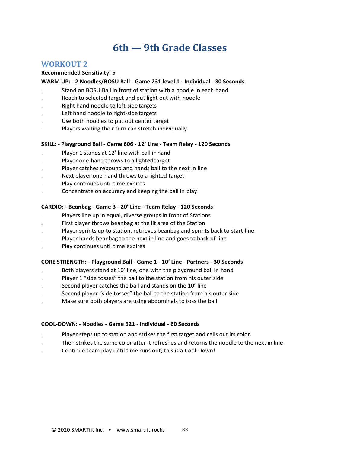#### **WORKOUT 2**

#### **Recommended Sensitivity:** 5

#### **WARM UP: - 2 Noodles/BOSU Ball - Game 231 level 1 - Individual - 30 Seconds**

- . Stand on BOSU Ball in front of station with a noodle in each hand
- . Reach to selected target and put light out with noodle
- . Right hand noodle to left-side targets
- Left hand noodle to right-side targets
- Use both noodles to put out center target
- . Players waiting their turn can stretch individually

#### **SKILL: - Playground Ball - Game 606 - 12' Line - Team Relay - 120 Seconds**

- Player 1 stands at 12' line with ball in hand
- Player one-hand throws to a lighted target
- . Player catches rebound and hands ball to the next in line
- . Next player one-hand throws to a lighted target
- . Play continues until time expires
- . Concentrate on accuracy and keeping the ball in play

#### **CARDIO: - Beanbag - Game 3 - 20' Line - Team Relay - 120 Seconds**

- . Players line up in equal, diverse groups in front of Stations
- . First player throws beanbag at the lit area of the Station
- . Player sprints up to station, retrieves beanbag and sprints back to start-line
- Player hands beanbag to the next in line and goes to back of line
- . Play continues until time expires

#### **CORE STRENGTH: - Playground Ball - Game 1 - 10' Line - Partners - 30 Seconds**

- . Both players stand at 10' line, one with the playground ball in hand
- Player 1 "side tosses" the ball to the station from his outer side
- Second player catches the ball and stands on the 10' line
- . Second player "side tosses" the ball to the station from his outer side
- . Make sure both players are using abdominals to toss the ball

#### **COOL-DOWN: - Noodles - Game 621 - Individual - 60 Seconds**

- . Player steps up to station and strikes the first target and calls out its color.
- . Then strikes the same color after it refreshes and returns the noodle to the next in line
- . Continue team play until time runs out; this is a Cool-Down!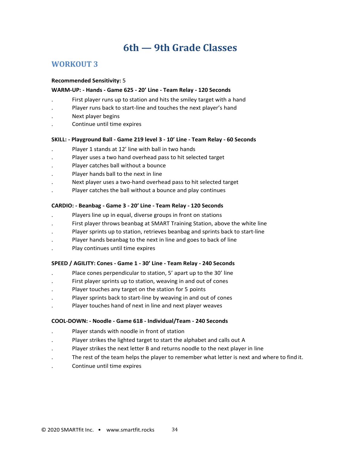#### **WORKOUT 3**

#### **Recommended Sensitivity:** 5

#### **WARM-UP: - Hands - Game 625 - 20' Line - Team Relay - 120 Seconds**

- . First player runs up to station and hits the smiley target with a hand
- Player runs back to start-line and touches the next player's hand
- . Next player begins
- . Continue until time expires

#### **SKILL: - Playground Ball - Game 219 level 3 - 10' Line - Team Relay - 60 Seconds**

- . Player 1 stands at 12' line with ball in two hands
- . Player uses a two hand overhead pass to hit selected target
- . Player catches ball without a bounce
- . Player hands ball to the next in line
- . Next player uses a two-hand overhead pass to hit selected target
- . Player catches the ball without a bounce and play continues

#### **CARDIO: - Beanbag - Game 3 - 20' Line - Team Relay - 120 Seconds**

- . Players line up in equal, diverse groups in front on stations
- . First player throws beanbag at SMART Training Station, above the white line
- . Player sprints up to station, retrieves beanbag and sprints back to start-line
- . Player hands beanbag to the next in line and goes to back of line
- . Play continues until time expires

#### **SPEED / AGILITY: Cones - Game 1 - 30' Line - Team Relay - 240 Seconds**

- Place cones perpendicular to station, 5' apart up to the 30' line
- . First player sprints up to station, weaving in and out of cones
- Player touches any target on the station for 5 points
- . Player sprints back to start-line by weaving in and out of cones
- . Player touches hand of next in line and next player weaves

#### **COOL-DOWN: - Noodle - Game 618 - Individual/Team - 240 Seconds**

- . Player stands with noodle in front of station
- . Player strikes the lighted target to start the alphabet and calls out A
- Player strikes the next letter B and returns noodle to the next player in line
- . The rest of the team helps the player to remember what letter is next and where to find it.
- . Continue until time expires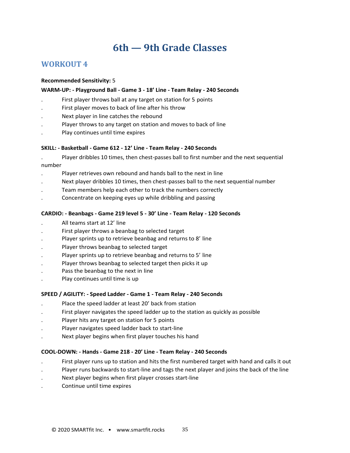#### **WORKOUT 4**

#### **Recommended Sensitivity:** 5

#### **WARM-UP: - Playground Ball - Game 3 - 18' Line - Team Relay - 240 Seconds**

- . First player throws ball at any target on station for 5 points
- . First player moves to back of line after his throw
- . Next player in line catches the rebound
- . Player throws to any target on station and moves to back of line
- . Play continues until time expires

#### **SKILL: - Basketball - Game 612 - 12' Line - Team Relay - 240 Seconds**

- . Player dribbles 10 times, then chest-passes ball to first number and the next sequential number
- . Player retrieves own rebound and hands ball to the next in line
- . Next player dribbles 10 times, then chest-passes ball to the next sequential number
- . Team members help each other to track the numbers correctly
- . Concentrate on keeping eyes up while dribbling and passing

#### **CARDIO: - Beanbags - Game 219 level 5 - 30' Line - Team Relay - 120 Seconds**

- . All teams start at 12' line
- . First player throws a beanbag to selected target
- Player sprints up to retrieve beanbag and returns to 8' line
- . Player throws beanbag to selected target
- Player sprints up to retrieve beanbag and returns to 5' line
- . Player throws beanbag to selected target then picks it up
- Pass the beanbag to the next in line
- . Play continues until time is up

#### **SPEED / AGILITY: - Speed Ladder - Game 1 - Team Relay - 240 Seconds**

- . Place the speed ladder at least 20' back from station
- . First player navigates the speed ladder up to the station as quickly as possible
- Player hits any target on station for 5 points
- . Player navigates speed ladder back to start-line
- Next player begins when first player touches his hand

#### **COOL-DOWN: - Hands - Game 218 - 20' Line - Team Relay - 240 Seconds**

- . First player runs up to station and hits the first numbered target with hand and calls it out
- . Player runs backwards to start-line and tags the next player and joins the back of the line
- . Next player begins when first player crosses start-line
- . Continue until time expires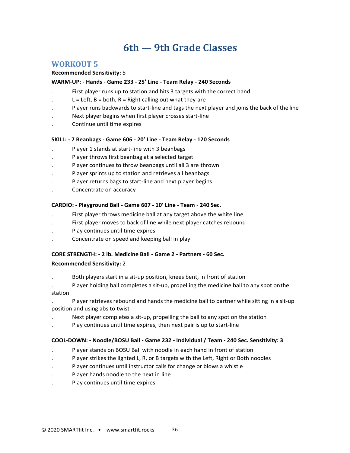#### <span id="page-35-0"></span>**WORKOUT 5**

#### <span id="page-35-1"></span>**Recommended Sensitivity:** 5

#### **WARM-UP: - Hands - Game 233 - 25' Line - Team Relay - 240 Seconds**

- . First player runs up to station and hits 3 targets with the correct hand
- $L = Left$ ,  $B = both$ ,  $R = Right$  calling out what they are
- . Player runs backwards to start-line and tags the next player and joins the back of the line
- . Next player begins when first player crosses start-line
- . Continue until time expires

#### **SKILL: - 7 Beanbags - Game 606 - 20' Line - Team Relay - 120 Seconds**

- . Player 1 stands at start-line with 3 beanbags
- Player throws first beanbag at a selected target
- . Player continues to throw beanbags until all 3 are thrown
- . Player sprints up to station and retrieves all beanbags
- . Player returns bags to start-line and next player begins
- . Concentrate on accuracy

#### **CARDIO: - Playground Ball - Game 607 - 10' Line - Team** - **240 Sec.**

- . First player throws medicine ball at any target above the white line
- . First player moves to back of line while next player catches rebound
- . Play continues until time expires
- . Concentrate on speed and keeping ball in play

#### **CORE STRENGTH: - 2 lb. Medicine Ball - Game 2 - Partners - 60 Sec.**

#### **Recommended Sensitivity:** 2

- . Both players start in a sit-up position, knees bent, in front of station
- Player holding ball completes a sit-up, propelling the medicine ball to any spot onthe station
- . Player retrieves rebound and hands the medicine ball to partner while sitting in a sit-up position and using abs to twist
- Next player completes a sit-up, propelling the ball to any spot on the station
- . Play continues until time expires, then next pair is up to start-line

#### **COOL-DOWN: - Noodle/BOSU Ball - Game 232 - Individual / Team - 240 Sec. Sensitivity: 3**

- . Player stands on BOSU Ball with noodle in each hand in front of station
- Player strikes the lighted L, R, or B targets with the Left, Right or Both noodles
- . Player continues until instructor calls for change or blows a whistle
- . Player hands noodle to the next in line
- . Play continues until time expires.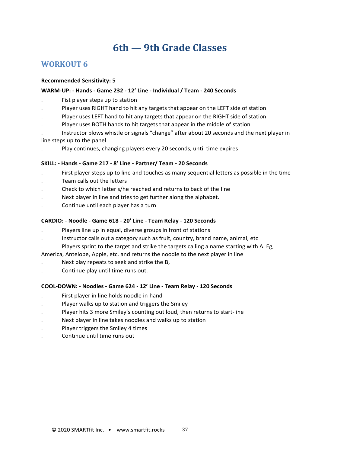#### <span id="page-36-0"></span>**WORKOUT 6**

#### **Recommended Sensitivity:** 5

#### **WARM-UP: - Hands - Game 232 - 12' Line - Individual / Team - 240 Seconds**

- . Fist player steps up to station
- . Player uses RIGHT hand to hit any targets that appear on the LEFT side of station
- . Player uses LEFT hand to hit any targets that appear on the RIGHT side of station
- . Player uses BOTH hands to hit targets that appear in the middle of station
- . Instructor blows whistle or signals "change" after about 20 seconds and the next player in line steps up to the panel
- . Play continues, changing players every 20 seconds, until time expires

#### **SKILL: - Hands - Game 217 - 8' Line - Partner/ Team - 20 Seconds**

- . First player steps up to line and touches as many sequential letters as possible in the time
- . Team calls out the letters
- . Check to which letter s/he reached and returns to back of the line
- . Next player in line and tries to get further along the alphabet.
- . Continue until each player has a turn

#### **CARDIO: - Noodle - Game 618 - 20' Line - Team Relay - 120 Seconds**

- . Players line up in equal, diverse groups in front of stations
- . Instructor calls out a category such as fruit, country, brand name, animal, etc
- . Players sprint to the target and strike the targets calling a name starting with A. Eg,

America, Antelope, Apple, etc. and returns the noodle to the next player in line

- . Next play repeats to seek and strike the B,
- . Continue play until time runs out.

#### **COOL-DOWN: - Noodles - Game 624 - 12' Line - Team Relay - 120 Seconds**

- . First player in line holds noodle in hand
- . Player walks up to station and triggers the Smiley
- . Player hits 3 more Smiley's counting out loud, then returns to start-line
- . Next player in line takes noodles and walks up to station
- . Player triggers the Smiley 4 times
- . Continue until time runs out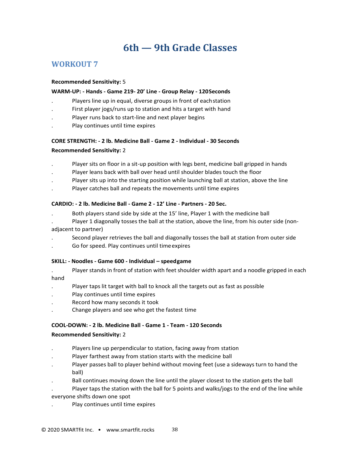#### <span id="page-37-0"></span>**WORKOUT 7**

#### **Recommended Sensitivity:** 5

#### **WARM-UP: - Hands - Game 219- 20' Line - Group Relay - 120Seconds**

- . Players line up in equal, diverse groups in front of eachstation
- . First player jogs/runs up to station and hits a target with hand
- . Player runs back to start-line and next player begins
- . Play continues until time expires

### **CORE STRENGTH: - 2 lb. Medicine Ball - Game 2 - Individual - 30 Seconds**

#### **Recommended Sensitivity:** 2

- . Player sits on floor in a sit-up position with legs bent, medicine ball gripped in hands
- . Player leans back with ball over head until shoulder blades touch the floor
- . Player sits up into the starting position while launching ball at station, above the line
- . Player catches ball and repeats the movements until time expires

#### **CARDIO: - 2 lb. Medicine Ball - Game 2 - 12' Line - Partners - 20 Sec.**

- . Both players stand side by side at the 15' line, Player 1 with the medicine ball
- Player 1 diagonally tosses the ball at the station, above the line, from his outer side (nonadjacent to partner)
- Second player retrieves the ball and diagonally tosses the ball at station from outer side
- . Go for speed. Play continues until timeexpires

#### **SKILL: - Noodles - Game 600 - Individual – speedgame**

- . Player stands in front of station with feet shoulder width apart and a noodle gripped in each hand
- . Player taps lit target with ball to knock all the targets out as fast as possible
- . Play continues until time expires
- . Record how many seconds it took
- . Change players and see who get the fastest time

#### **COOL-DOWN: - 2 lb. Medicine Ball - Game 1 - Team - 120 Seconds**

#### **Recommended Sensitivity:** 2

- . Players line up perpendicular to station, facing away from station
- . Player farthest away from station starts with the medicine ball
- . Player passes ball to player behind without moving feet (use a sideways turn to hand the ball)
- . Ball continues moving down the line until the player closest to the station gets the ball
- . Player taps the station with the ball for 5 points and walks/jogs to the end of the line while everyone shifts down one spot
- . Play continues until time expires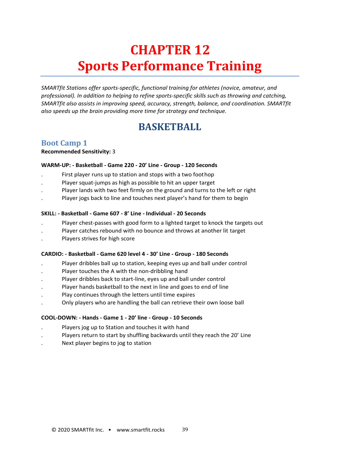## <span id="page-38-1"></span>**CHAPTER 12 Sports Performance Training**

<span id="page-38-0"></span>*SMARTfit Stations offer sports-specific, functional training for athletes (novice, amateur, and professional). In addition to helping to refine sports-specific skills such as throwing and catching, SMARTfit also assists in improving speed, accuracy, strength, balance, and coordination. SMARTfit also speeds up the brain providing more time for strategy and technique.*

### **BASKETBALL**

#### <span id="page-38-3"></span><span id="page-38-2"></span>**Boot Camp 1**

**Recommended Sensitivity:** 3

#### **WARM-UP: - Basketball - Game 220 - 20' Line - Group - 120 Seconds**

- . First player runs up to station and stops with a two foothop
- . Player squat-jumps as high as possible to hit an upper target
- . Player lands with two feet firmly on the ground and turns to the left or right
- Player jogs back to line and touches next player's hand for them to begin

#### **SKILL: - Basketball - Game 607 - 8' Line - Individual - 20 Seconds**

- . Player chest-passes with good form to a lighted target to knock the targets out
- . Player catches rebound with no bounce and throws at another lit target
- . Players strives for high score

#### **CARDIO: - Basketball - Game 620 level 4 - 30' Line - Group - 180 Seconds**

- . Player dribbles ball up to station, keeping eyes up and ball under control
- . Player touches the A with the non-dribbling hand
- . Player dribbles back to start-line, eyes up and ball under control
- Player hands basketball to the next in line and goes to end of line
- . Play continues through the letters until time expires
- . Only players who are handling the ball can retrieve their own loose ball

#### **COOL-DOWN: - Hands - Game 1 - 20' line - Group - 10 Seconds**

- . Players jog up to Station and touches it with hand
- . Players return to start by shuffling backwards until they reach the 20' Line
- . Next player begins to jog to station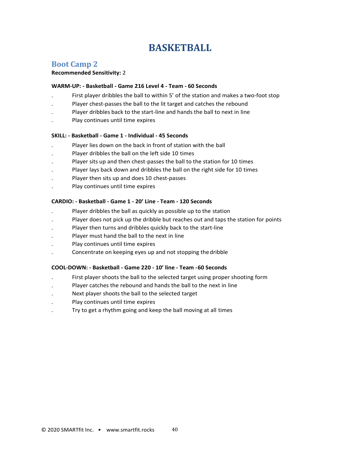### **BASKETBALL**

#### <span id="page-39-1"></span><span id="page-39-0"></span>**Boot Camp 2**

#### **Recommended Sensitivity:** 2

#### **WARM-UP: - Basketball - Game 216 Level 4 - Team - 60 Seconds**

- . First player dribbles the ball to within 5' of the station and makes a two-foot stop
- . Player chest-passes the ball to the lit target and catches the rebound
- . Player dribbles back to the start-line and hands the ball to next in line
- . Play continues until time expires

#### **SKILL: - Basketball - Game 1 - Individual - 45 Seconds**

- . Player lies down on the back in front of station with the ball
- . Player dribbles the ball on the left side 10 times
- . Player sits up and then chest-passes the ball to the station for 10 times
- Player lays back down and dribbles the ball on the right side for 10 times
- . Player then sits up and does 10 chest-passes
- . Play continues until time expires

#### **CARDIO: - Basketball - Game 1 - 20' Line - Team - 120 Seconds**

- . Player dribbles the ball as quickly as possible up to the station
- Player does not pick up the dribble but reaches out and taps the station for points
- . Player then turns and dribbles quickly back to the start-line
- . Player must hand the ball to the next in line
- . Play continues until time expires
- . Concentrate on keeping eyes up and not stopping thedribble

#### **COOL-DOWN: - Basketball - Game 220 - 10' line - Team -60 Seconds**

- . First player shoots the ball to the selected target using proper shooting form
- . Player catches the rebound and hands the ball to the next in line
- . Next player shoots the ball to the selected target
- . Play continues until time expires
- . Try to get a rhythm going and keep the ball moving at all times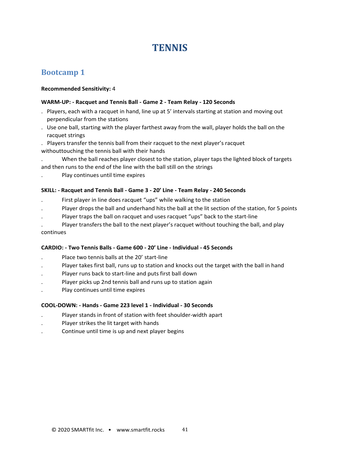### **TENNIS**

#### <span id="page-40-1"></span><span id="page-40-0"></span>**Bootcamp 1**

#### **Recommended Sensitivity:** 4

#### **WARM-UP: - Racquet and Tennis Ball - Game 2 - Team Relay - 120 Seconds**

- . Players, each with a racquet in hand, line up at 5' intervals starting at station and moving out perpendicular from the stations
- . Use one ball, starting with the player farthest away from the wall, player holds the ball on the racquet strings
- . Players transfer the tennis ball from their racquet to the next player's racquet withouttouching the tennis ball with their hands
- . When the ball reaches player closest to the station, player taps the lighted block of targets
- and then runs to the end of the line with the ball still on the strings
- . Play continues until time expires

#### **SKILL: - Racquet and Tennis Ball - Game 3 - 20' Line - Team Relay - 240 Seconds**

- . First player in line does racquet "ups" while walking to the station
- . Player drops the ball and underhand hits the ball at the lit section of the station, for 5 points
- . Player traps the ball on racquet and uses racquet "ups" back to the start-line
- . Player transfers the ball to the next player's racquet without touching the ball, and play continues

#### **CARDIO: - Two Tennis Balls - Game 600 - 20' Line - Individual - 45 Seconds**

- . Place two tennis balls at the 20' start-line
- Player takes first ball, runs up to station and knocks out the target with the ball in hand
- . Player runs back to start-line and puts first ball down
- . Player picks up 2nd tennis ball and runs up to station again
- . Play continues until time expires

#### **COOL-DOWN: - Hands - Game 223 level 1 - Individual - 30 Seconds**

- . Player stands in front of station with feet shoulder-width apart
- . Player strikes the lit target with hands
- . Continue until time is up and next player begins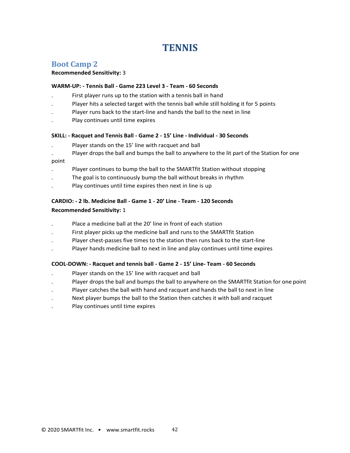### **TENNIS**

#### <span id="page-41-1"></span><span id="page-41-0"></span>**Boot Camp 2**

#### **Recommended Sensitivity:** 3

#### **WARM-UP: - Tennis Ball - Game 223 Level 3 - Team - 60 Seconds**

- . First player runs up to the station with a tennis ball in hand
- Player hits a selected target with the tennis ball while still holding it for 5 points
- . Player runs back to the start-line and hands the ball to the next in line
- . Play continues until time expires

#### **SKILL: - Racquet and Tennis Ball - Game 2 - 15' Line - Individual - 30 Seconds**

- . Player stands on the 15' line with racquet and ball
- Player drops the ball and bumps the ball to anywhere to the lit part of the Station for one point

- . Player continues to bump the ball to the SMARTfit Station without stopping
- The goal is to continuously bump the ball without breaks in rhythm
- Play continues until time expires then next in line is up

#### **CARDIO: - 2 lb. Medicine Ball - Game 1 - 20' Line - Team - 120 Seconds**

#### **Recommended Sensitivity:** 1

- . Place a medicine ball at the 20' line in front of each station
- . First player picks up the medicine ball and runs to the SMARTfit Station
- . Player chest-passes five times to the station then runs back to the start-line
- . Player hands medicine ball to next in line and play continues until time expires

#### **COOL-DOWN: - Racquet and tennis ball - Game 2 - 15' Line- Team - 60 Seconds**

- . Player stands on the 15' line with racquet and ball
- . Player drops the ball and bumps the ball to anywhere on the SMARTfit Station for one point
- . Player catches the ball with hand and racquet and hands the ball to next in line
- . Next player bumps the ball to the Station then catches it with ball and racquet
- . Play continues until time expires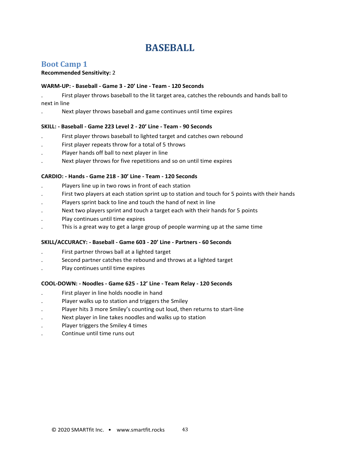### **BASEBALL**

#### <span id="page-42-1"></span><span id="page-42-0"></span>**Boot Camp 1**

#### **Recommended Sensitivity:** 2

#### **WARM-UP: - Baseball - Game 3 - 20' Line - Team - 120 Seconds**

. First player throws baseball to the lit target area, catches the rebounds and hands ball to next in line

. Next player throws baseball and game continues until time expires

#### **SKILL: - Baseball - Game 223 Level 2 - 20' Line - Team - 90 Seconds**

- . First player throws baseball to lighted target and catches own rebound
- . First player repeats throw for a total of 5 throws
- . Player hands off ball to next player in line
- . Next player throws for five repetitions and so on until time expires

#### **CARDIO: - Hands - Game 218 - 30' Line - Team - 120 Seconds**

- . Players line up in two rows in front of each station
- . First two players at each station sprint up to station and touch for 5 points with their hands
- . Players sprint back to line and touch the hand of next in line
- Next two players sprint and touch a target each with their hands for 5 points
- . Play continues until time expires
- . This is a great way to get a large group of people warming up at the same time

#### **SKILL/ACCURACY: - Baseball - Game 603 - 20' Line - Partners - 60 Seconds**

- . First partner throws ball at a lighted target
- . Second partner catches the rebound and throws at a lighted target
- . Play continues until time expires

#### **COOL-DOWN: - Noodles - Game 625 - 12' Line - Team Relay - 120 Seconds**

- . First player in line holds noodle in hand
- . Player walks up to station and triggers the Smiley
- . Player hits 3 more Smiley's counting out loud, then returns to start-line
- . Next player in line takes noodles and walks up to station
- . Player triggers the Smiley 4 times
- . Continue until time runs out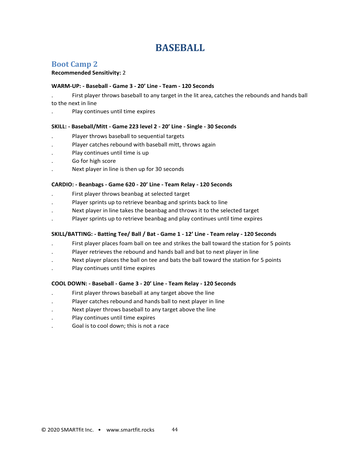### **BASEBALL**

#### <span id="page-43-1"></span><span id="page-43-0"></span>**Boot Camp 2**

#### **Recommended Sensitivity:** 2

#### **WARM-UP: - Baseball - Game 3 - 20' Line - Team - 120 Seconds**

- . First player throws baseball to any target in the lit area, catches the rebounds and hands ball to the next in line
- . Play continues until time expires

#### **SKILL: - Baseball/Mitt - Game 223 level 2 - 20' Line - Single - 30 Seconds**

- . Player throws baseball to sequential targets
- . Player catches rebound with baseball mitt, throws again
- . Play continues until time is up
- . Go for high score
- . Next player in line is then up for 30 seconds

#### **CARDIO: - Beanbags - Game 620 - 20' Line - Team Relay - 120 Seconds**

- . First player throws beanbag at selected target
- . Player sprints up to retrieve beanbag and sprints back to line
- Next player in line takes the beanbag and throws it to the selected target
- . Player sprints up to retrieve beanbag and play continues until time expires

#### **SKILL/BATTING: - Batting Tee/ Ball / Bat - Game 1 - 12' Line - Team relay - 120 Seconds**

- . First player places foam ball on tee and strikes the ball toward the station for 5 points
- . Player retrieves the rebound and hands ball and bat to next player in line
- Next player places the ball on tee and bats the ball toward the station for 5 points
- . Play continues until time expires

#### **COOL DOWN: - Baseball - Game 3 - 20' Line - Team Relay - 120 Seconds**

- . First player throws baseball at any target above the line
- . Player catches rebound and hands ball to next player in line
- . Next player throws baseball to any target above the line
- . Play continues until time expires
- . Goal is to cool down; this is not a race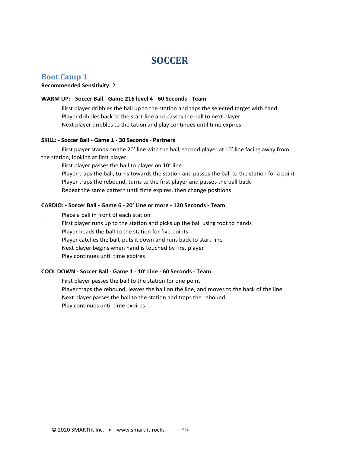### **SOCCER**

#### <span id="page-44-1"></span><span id="page-44-0"></span>**Boot Camp 1**

#### **Recommended Sensitivity:** 2

#### **WARM UP: - Soccer Ball - Game 216 level 4 - 60 Seconds - Team**

- . First player dribbles the ball up to the station and taps the selected target with hand
- . Player dribbles back to the start-line and passes the ball to next player
- . Next player dribbles to the tation and play continues until time expires

#### **SKILL: - Soccer Ball - Game 1 - 30 Seconds - Partners**

. First player stands on the 20' line with the ball, second player at 10' line facing away from the station, looking at first player

- . First player passes the ball to player on 10' line.
- . Player traps the ball, turns towards the station and passes the ball to the station for a point
- Player traps the rebound, turns to the first player and passes the ball back
- . Repeat the same pattern until time expires, then change positions

#### **CARDIO: - Soccer Ball - Game 6 - 20' Line or more - 120 Seconds - Team**

- . Place a ball in front of each station
- First player runs up to the station and picks up the ball using foot to hands
- Player heads the ball to the station for five points
- . Player catches the ball, puts it down and runs back to start-line
- . Next player begins when hand is touched by first player
- . Play continues until time expires

#### **COOL DOWN - Soccer Ball - Game 1 - 10' Line - 60 Seconds - Team**

- . First player passes the ball to the station for one point
- . Player traps the rebound, leaves the ball on the line, and moves to the back of the line
- . Next player passes the ball to the station and traps the rebound.
- . Play continues until time expires